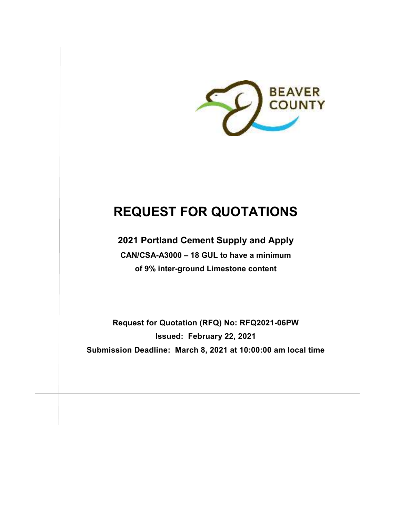

# **REQUEST FOR QUOTATIONS**

**2021 Portland Cement Supply and Apply CAN/CSA-A3000 – 18 GUL to have a minimum of 9% inter-ground Limestone content** 

**Request for Quotation (RFQ) No: RFQ2021-06PW Issued: February 22, 2021 Submission Deadline: March 8, 2021 at 10:00:00 am local time**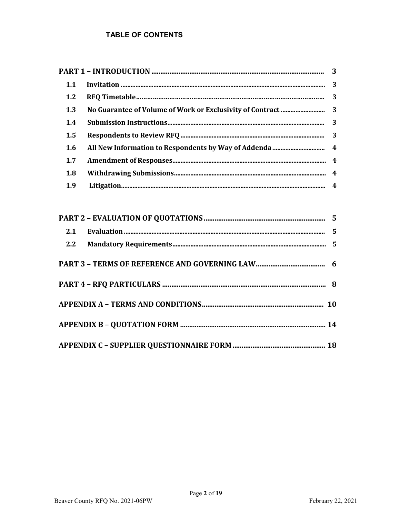# **TABLE OF CONTENTS**

| 1.1 |  |  |
|-----|--|--|
| 1.2 |  |  |
| 1.3 |  |  |
| 1.4 |  |  |
| 1.5 |  |  |
| 1.6 |  |  |
| 1.7 |  |  |
| 1.8 |  |  |
| 1.9 |  |  |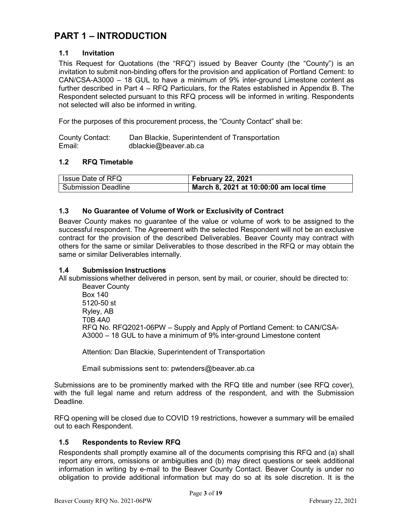# **PART 1 – INTRODUCTION**

# **1.1 Invitation**

This Request for Quotations (the "RFQ") issued by Beaver County (the "County") is an invitation to submit non-binding offers for the provision and application of Portland Cement: to CAN/CSA-A3000 – 18 GUL to have a minimum of 9% inter-ground Limestone content as further described in Part 4 – RFQ Particulars, for the Rates established in Appendix B. The Respondent selected pursuant to this RFQ process will be informed in writing. Respondents not selected will also be informed in writing.

For the purposes of this procurement process, the "County Contact" shall be:

| <b>County Contact:</b> | Dan Blackie, Superintendent of Transportation |
|------------------------|-----------------------------------------------|
| Email:                 | dblackie@beaver.ab.ca                         |

#### **1.2 RFQ Timetable**

| Issue Date of RFQ          | <b>February 22, 2021</b>                |
|----------------------------|-----------------------------------------|
| <b>Submission Deadline</b> | March 8, 2021 at 10:00:00 am local time |

#### **1.3 No Guarantee of Volume of Work or Exclusivity of Contract**

Beaver County makes no guarantee of the value or volume of work to be assigned to the successful respondent. The Agreement with the selected Respondent will not be an exclusive contract for the provision of the described Deliverables. Beaver County may contract with others for the same or similar Deliverables to those described in the RFQ or may obtain the same or similar Deliverables internally.

#### **1.4 Submission Instructions**

All submissions whether delivered in person, sent by mail, or courier, should be directed to:

Beaver County Box 140 5120-50 st Ryley, AB T0B 4A0 RFQ No. RFQ2021-06PW – Supply and Apply of Portland Cement: to CAN/CSA-A3000 – 18 GUL to have a minimum of 9% inter-ground Limestone content

Attention: Dan Blackie, Superintendent of Transportation

Email submissions sent to: pwtenders@beaver.ab.ca

Submissions are to be prominently marked with the RFQ title and number (see RFQ cover), with the full legal name and return address of the respondent, and with the Submission Deadline.

RFQ opening will be closed due to COVID 19 restrictions, however a summary will be emailed out to each Respondent.

#### **1.5 Respondents to Review RFQ**

Respondents shall promptly examine all of the documents comprising this RFQ and (a) shall report any errors, omissions or ambiguities and (b) may direct questions or seek additional information in writing by e-mail to the Beaver County Contact. Beaver County is under no obligation to provide additional information but may do so at its sole discretion. It is the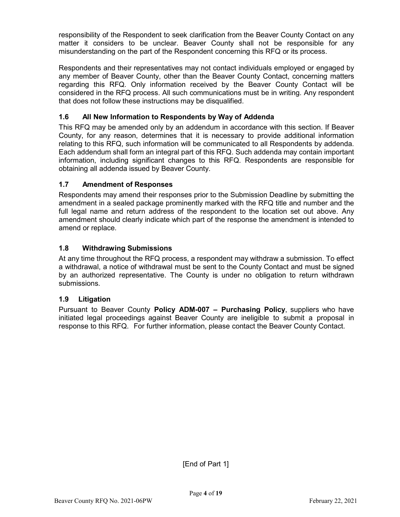responsibility of the Respondent to seek clarification from the Beaver County Contact on any matter it considers to be unclear. Beaver County shall not be responsible for any misunderstanding on the part of the Respondent concerning this RFQ or its process.

Respondents and their representatives may not contact individuals employed or engaged by any member of Beaver County, other than the Beaver County Contact, concerning matters regarding this RFQ. Only information received by the Beaver County Contact will be considered in the RFQ process. All such communications must be in writing. Any respondent that does not follow these instructions may be disqualified.

# **1.6 All New Information to Respondents by Way of Addenda**

This RFQ may be amended only by an addendum in accordance with this section. If Beaver County, for any reason, determines that it is necessary to provide additional information relating to this RFQ, such information will be communicated to all Respondents by addenda. Each addendum shall form an integral part of this RFQ. Such addenda may contain important information, including significant changes to this RFQ. Respondents are responsible for obtaining all addenda issued by Beaver County.

### **1.7 Amendment of Responses**

Respondents may amend their responses prior to the Submission Deadline by submitting the amendment in a sealed package prominently marked with the RFQ title and number and the full legal name and return address of the respondent to the location set out above. Any amendment should clearly indicate which part of the response the amendment is intended to amend or replace.

### **1.8 Withdrawing Submissions**

At any time throughout the RFQ process, a respondent may withdraw a submission. To effect a withdrawal, a notice of withdrawal must be sent to the County Contact and must be signed by an authorized representative. The County is under no obligation to return withdrawn submissions.

#### **1.9 Litigation**

Pursuant to Beaver County **Policy ADM-007 – Purchasing Policy**, suppliers who have initiated legal proceedings against Beaver County are ineligible to submit a proposal in response to this RFQ. For further information, please contact the Beaver County Contact.

[End of Part 1]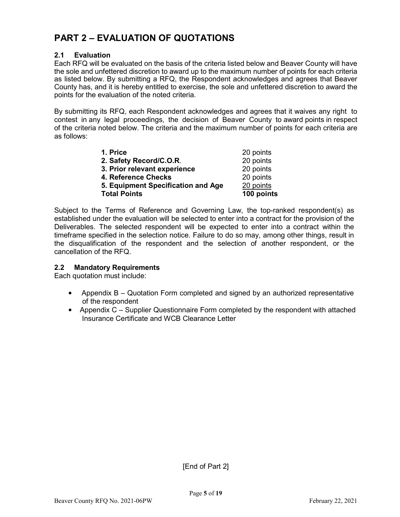# **PART 2 – EVALUATION OF QUOTATIONS**

### **2.1 Evaluation**

Each RFQ will be evaluated on the basis of the criteria listed below and Beaver County will have the sole and unfettered discretion to award up to the maximum number of points for each criteria as listed below. By submitting a RFQ, the Respondent acknowledges and agrees that Beaver County has, and it is hereby entitled to exercise, the sole and unfettered discretion to award the points for the evaluation of the noted criteria.

By submitting its RFQ, each Respondent acknowledges and agrees that it waives any right to contest in any legal proceedings, the decision of Beaver County to award points in respect of the criteria noted below. The criteria and the maximum number of points for each criteria are as follows:

| <b>Total Points</b>                | 100 points |
|------------------------------------|------------|
| 5. Equipment Specification and Age | 20 points  |
| 4. Reference Checks                | 20 points  |
| 3. Prior relevant experience       | 20 points  |
| 2. Safety Record/C.O.R.            | 20 points  |
| 1. Price                           | 20 points  |

Subject to the Terms of Reference and Governing Law, the top-ranked respondent(s) as established under the evaluation will be selected to enter into a contract for the provision of the Deliverables. The selected respondent will be expected to enter into a contract within the timeframe specified in the selection notice. Failure to do so may, among other things, result in the disqualification of the respondent and the selection of another respondent, or the cancellation of the RFQ.

#### **2.2 Mandatory Requirements**

Each quotation must include:

- Appendix B Quotation Form completed and signed by an authorized representative of the respondent
- Appendix C Supplier Questionnaire Form completed by the respondent with attached Insurance Certificate and WCB Clearance Letter

[End of Part 2]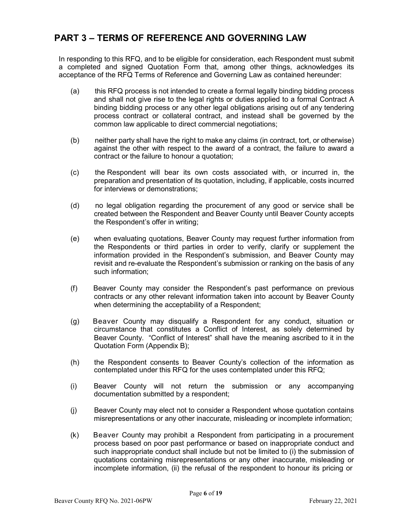# **PART 3 – TERMS OF REFERENCE AND GOVERNING LAW**

In responding to this RFQ, and to be eligible for consideration, each Respondent must submit a completed and signed Quotation Form that, among other things, acknowledges its acceptance of the RFQ Terms of Reference and Governing Law as contained hereunder:

- (a) this RFQ process is not intended to create a formal legally binding bidding process and shall not give rise to the legal rights or duties applied to a formal Contract A binding bidding process or any other legal obligations arising out of any tendering process contract or collateral contract, and instead shall be governed by the common law applicable to direct commercial negotiations;
- (b) neither party shall have the right to make any claims (in contract, tort, or otherwise) against the other with respect to the award of a contract, the failure to award a contract or the failure to honour a quotation;
- (c) the Respondent will bear its own costs associated with, or incurred in, the preparation and presentation of its quotation, including, if applicable, costs incurred for interviews or demonstrations;
- (d) no legal obligation regarding the procurement of any good or service shall be created between the Respondent and Beaver County until Beaver County accepts the Respondent's offer in writing;
- (e) when evaluating quotations, Beaver County may request further information from the Respondents or third parties in order to verify, clarify or supplement the information provided in the Respondent's submission, and Beaver County may revisit and re-evaluate the Respondent's submission or ranking on the basis of any such information;
- (f) Beaver County may consider the Respondent's past performance on previous contracts or any other relevant information taken into account by Beaver County when determining the acceptability of a Respondent;
- (g) Beaver County may disqualify a Respondent for any conduct, situation or circumstance that constitutes a Conflict of Interest, as solely determined by Beaver County. "Conflict of Interest" shall have the meaning ascribed to it in the Quotation Form (Appendix B);
- (h) the Respondent consents to Beaver County's collection of the information as contemplated under this RFQ for the uses contemplated under this RFQ;
- (i) Beaver County will not return the submission or any accompanying documentation submitted by a respondent;
- (j) Beaver County may elect not to consider a Respondent whose quotation contains misrepresentations or any other inaccurate, misleading or incomplete information;
- (k) Beaver County may prohibit a Respondent from participating in a procurement process based on poor past performance or based on inappropriate conduct and such inappropriate conduct shall include but not be limited to (i) the submission of quotations containing misrepresentations or any other inaccurate, misleading or incomplete information, (ii) the refusal of the respondent to honour its pricing or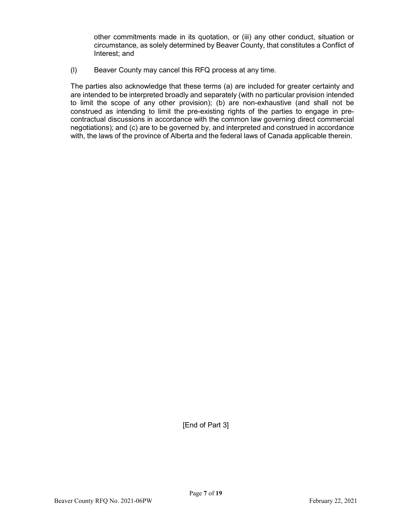other commitments made in its quotation, or (iii) any other conduct, situation or circumstance, as solely determined by Beaver County, that constitutes a Conflict of Interest; and

(l) Beaver County may cancel this RFQ process at any time.

The parties also acknowledge that these terms (a) are included for greater certainty and are intended to be interpreted broadly and separately (with no particular provision intended to limit the scope of any other provision); (b) are non-exhaustive (and shall not be construed as intending to limit the pre-existing rights of the parties to engage in precontractual discussions in accordance with the common law governing direct commercial negotiations); and (c) are to be governed by, and interpreted and construed in accordance with, the laws of the province of Alberta and the federal laws of Canada applicable therein.

[End of Part 3]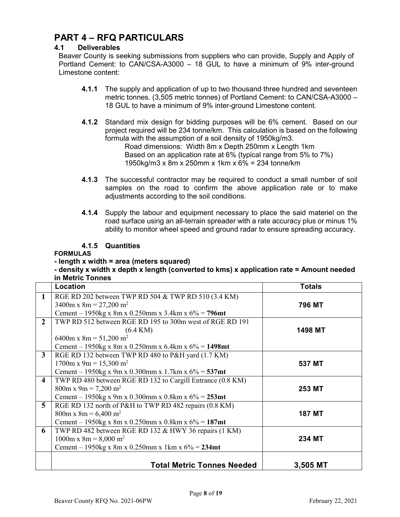# **PART 4 – RFQ PARTICULARS**

# **4.1 Deliverables**

Beaver County is seeking submissions from suppliers who can provide, Supply and Apply of Portland Cement: to CAN/CSA-A3000 – 18 GUL to have a minimum of 9% inter-ground Limestone content:

- **4.1.1** The supply and application of up to two thousand three hundred and seventeen metric tonnes. (3,505 metric tonnes) of Portland Cement: to CAN/CSA-A3000 – 18 GUL to have a minimum of 9% inter-ground Limestone content.
- **4.1.2** Standard mix design for bidding purposes will be 6% cement. Based on our project required will be 234 tonne/km. This calculation is based on the following formula with the assumption of a soil density of 1950kg/m3. Road dimensions: Width 8m x Depth 250mm x Length 1km Based on an application rate at 6% (typical range from 5% to 7%) 1950kg/m3 x 8m x 250mm x 1km x 6% = 234 tonne/km
- **4.1.3** The successful contractor may be required to conduct a small number of soil samples on the road to confirm the above application rate or to make adjustments according to the soil conditions.
- **4.1.4** Supply the labour and equipment necessary to place the said materiel on the road surface using an all-terrain spreader with a rate accuracy plus or minus 1% ability to monitor wheel speed and ground radar to ensure spreading accuracy.

### **4.1.5 Quantities**

#### **FORMULAS**

#### **- length x width = area (meters squared)**

#### **- density x width x depth x length (converted to kms) x application rate = Amount needed in Metric Tonnes**

|                         | Location                                                   | <b>Totals</b> |
|-------------------------|------------------------------------------------------------|---------------|
| 1                       | RGE RD 202 between TWP RD 504 & TWP RD 510 (3.4 KM)        |               |
|                         | $3400m \times 8m = 27,200 m^2$                             | 796 MT        |
|                         | Cement – 1950kg x 8m x 0.250mm x 3.4km x $6\%$ = 796mt     |               |
| $\overline{2}$          | TWP RD 512 between RGE RD 195 to 300m west of RGE RD 191   |               |
|                         | $(6.4 \text{ KM})$                                         | 1498 MT       |
|                         | 6400m x 8m = $51,200$ m <sup>2</sup>                       |               |
|                         | Cement – 1950kg x 8m x 0.250mm x 6.4km x $6\%$ = 1498mt    |               |
| $\mathbf{3}$            | RGE RD 132 between TWP RD 480 to P&H yard (1.7 KM)         |               |
|                         | $1700m \times 9m = 15,300 m^2$                             | 537 MT        |
|                         | Cement – 1950kg x 9m x 0.300mm x 1.7km x $6\%$ = 537mt     |               |
| $\overline{\mathbf{4}}$ | TWP RD 480 between RGE RD 132 to Cargill Entrance (0.8 KM) |               |
|                         | $800m \times 9m = 7,200 m^2$                               | 253 MT        |
|                         | Cement – 1950kg x 9m x 0.300mm x 0.8km x $6\%$ = 253mt     |               |
| 5                       | RGE RD 132 north of P&H to TWP RD 482 repairs (0.8 KM)     |               |
|                         | $800m \times 8m = 6,400 m^2$                               | <b>187 MT</b> |
|                         | Cement – 1950kg x 8m x 0.250mm x 0.8km x $6\%$ = 187mt     |               |
| 6                       | TWP RD 482 between RGE RD 132 & HWY 36 repairs (1 KM)      |               |
|                         | $1000m \times 8m = 8,000 m^2$                              | 234 MT        |
|                         | Cement – 1950kg x 8m x 0.250mm x 1km x $6\%$ = 234mt       |               |
|                         |                                                            |               |
|                         | <b>Total Metric Tonnes Needed</b>                          | 3,505 MT      |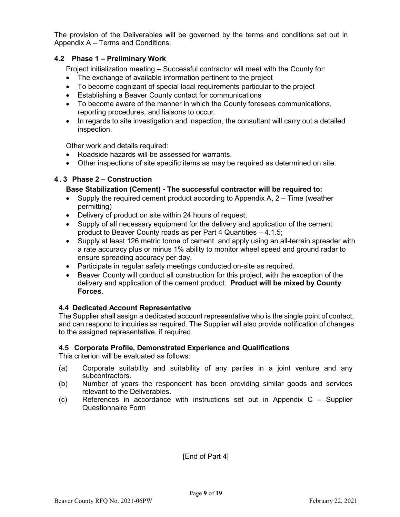The provision of the Deliverables will be governed by the terms and conditions set out in Appendix A – Terms and Conditions.

### **4.2 Phase 1 – Preliminary Work**

Project initialization meeting – Successful contractor will meet with the County for:

- The exchange of available information pertinent to the project
- To become cognizant of special local requirements particular to the project
- Establishing a Beaver County contact for communications
- To become aware of the manner in which the County foresees communications, reporting procedures, and liaisons to occur.
- In regards to site investigation and inspection, the consultant will carry out a detailed inspection.

Other work and details required:

- Roadside hazards will be assessed for warrants.
- Other inspections of site specific items as may be required as determined on site.

#### **4 . 3 Phase 2 – Construction**

#### **Base Stabilization (Cement) - The successful contractor will be required to:**

- Supply the required cement product according to Appendix  $A$ ,  $2 -$ Time (weather permitting)
- Delivery of product on site within 24 hours of request;
- Supply of all necessary equipment for the delivery and application of the cement product to Beaver County roads as per Part 4 Quantities – 4.1.5;
- Supply at least 126 metric tonne of cement, and apply using an all-terrain spreader with a rate accuracy plus or minus 1% ability to monitor wheel speed and ground radar to ensure spreading accuracy per day.
- Participate in regular safety meetings conducted on-site as required.
- Beaver County will conduct all construction for this project, with the exception of the delivery and application of the cement product. **Product will be mixed by County Forces**.

#### **4.4 Dedicated Account Representative**

The Supplier shall assign a dedicated account representative who is the single point of contact, and can respond to inquiries as required. The Supplier will also provide notification of changes to the assigned representative, if required.

#### **4.5 Corporate Profile, Demonstrated Experience and Qualifications**

This criterion will be evaluated as follows:

- (a) Corporate suitability and suitability of any parties in a joint venture and any subcontractors.
- (b) Number of years the respondent has been providing similar goods and services relevant to the Deliverables.
- (c) References in accordance with instructions set out in Appendix C Supplier Questionnaire Form

[End of Part 4]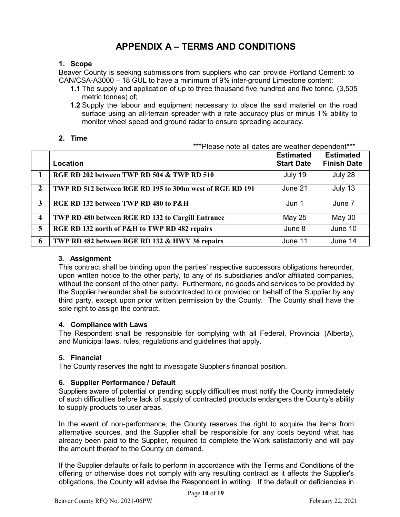# **APPENDIX A – TERMS AND CONDITIONS**

#### **1. Scope**

Beaver County is seeking submissions from suppliers who can provide Portland Cement: to CAN/CSA-A3000 – 18 GUL to have a minimum of 9% inter-ground Limestone content:

- **1.1** The supply and application of up to three thousand five hundred and five tonne. (3,505 metric tonnes) of;
- **1.2** Supply the labour and equipment necessary to place the said materiel on the road surface using an all-terrain spreader with a rate accuracy plus or minus 1% ability to monitor wheel speed and ground radar to ensure spreading accuracy.

\*\*\*Please note all dates are weather dependent\*\*\*

#### **2. Time**

|                         | er "Please note all dates are weather dependent""        |                                       |                                        |
|-------------------------|----------------------------------------------------------|---------------------------------------|----------------------------------------|
|                         | Location                                                 | <b>Estimated</b><br><b>Start Date</b> | <b>Estimated</b><br><b>Finish Date</b> |
|                         | RGE RD 202 between TWP RD 504 & TWP RD 510               | July 19                               | July 28                                |
| $\overline{2}$          | TWP RD 512 between RGE RD 195 to 300m west of RGE RD 191 | June 21                               | July 13                                |
| 3                       | RGE RD 132 between TWP RD 480 to P&H                     | Jun 1                                 | June 7                                 |
| $\overline{\mathbf{4}}$ | TWP RD 480 between RGE RD 132 to Cargill Entrance        | May 25                                | May 30                                 |
| 5                       | RGE RD 132 north of P&H to TWP RD 482 repairs            | June 8                                | June 10                                |
| 6                       | TWP RD 482 between RGE RD 132 & HWY 36 repairs           | June 11                               | June 14                                |

#### **3. Assignment**

This contract shall be binding upon the parties' respective successors obligations hereunder, upon written notice to the other party, to any of its subsidiaries and/or affiliated companies, without the consent of the other party. Furthermore, no goods and services to be provided by the Supplier hereunder shall be subcontracted to or provided on behalf of the Supplier by any third party, except upon prior written permission by the County. The County shall have the sole right to assign the contract.

#### **4. Compliance with Laws**

The Respondent shall be responsible for complying with all Federal, Provincial (Alberta), and Municipal laws, rules, regulations and guidelines that apply.

#### **5. Financial**

The County reserves the right to investigate Supplier's financial position.

#### **6. Supplier Performance / Default**

Suppliers aware of potential or pending supply difficulties must notify the County immediately of such difficulties before lack of supply of contracted products endangers the County's ability to supply products to user areas.

In the event of non-performance, the County reserves the right to acquire the items from alternative sources, and the Supplier shall be responsible for any costs beyond what has already been paid to the Supplier, required to complete the Work satisfactorily and will pay the amount thereof to the County on demand.

If the Supplier defaults or fails to perform in accordance with the Terms and Conditions of the offering or otherwise does not comply with any resulting contract as it affects the Supplier's obligations, the County will advise the Respondent in writing. If the default or deficiencies in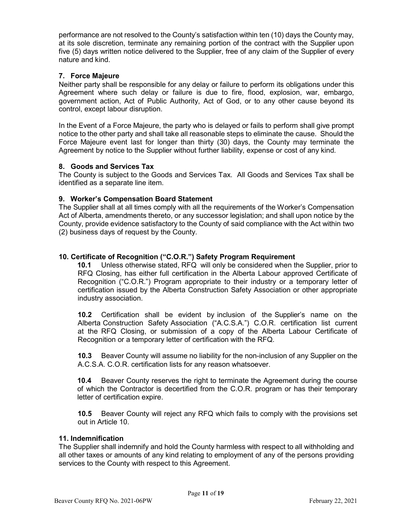performance are not resolved to the County's satisfaction within ten (10) days the County may, at its sole discretion, terminate any remaining portion of the contract with the Supplier upon five (5) days written notice delivered to the Supplier, free of any claim of the Supplier of every nature and kind.

#### **7. Force Majeure**

Neither party shall be responsible for any delay or failure to perform its obligations under this Agreement where such delay or failure is due to fire, flood, explosion, war, embargo, government action, Act of Public Authority, Act of God, or to any other cause beyond its control, except labour disruption.

In the Event of a Force Majeure, the party who is delayed or fails to perform shall give prompt notice to the other party and shall take all reasonable steps to eliminate the cause. Should the Force Majeure event last for longer than thirty (30) days, the County may terminate the Agreement by notice to the Supplier without further liability, expense or cost of any kind.

#### **8. Goods and Services Tax**

The County is subject to the Goods and Services Tax. All Goods and Services Tax shall be identified as a separate line item.

#### **9. Worker's Compensation Board Statement**

The Supplier shall at all times comply with all the requirements of the Worker's Compensation Act of Alberta, amendments thereto, or any successor legislation; and shall upon notice by the County, provide evidence satisfactory to the County of said compliance with the Act within two (2) business days of request by the County.

#### **10. Certificate of Recognition ("C.O.R.") Safety Program Requirement**

**10.1** Unless otherwise stated, RFQ will only be considered when the Supplier, prior to RFQ Closing, has either full certification in the Alberta Labour approved Certificate of Recognition ("C.O.R.") Program appropriate to their industry or a temporary letter of certification issued by the Alberta Construction Safety Association or other appropriate industry association.

**10.2** Certification shall be evident by inclusion of the Supplier's name on the Alberta Construction Safety Association ("A.C.S.A.") C.O.R. certification list current at the RFQ Closing, or submission of a copy of the Alberta Labour Certificate of Recognition or a temporary letter of certification with the RFQ.

**10.3** Beaver County will assume no liability for the non-inclusion of any Supplier on the A.C.S.A. C.O.R. certification lists for any reason whatsoever.

**10.4** Beaver County reserves the right to terminate the Agreement during the course of which the Contractor is decertified from the C.O.R. program or has their temporary letter of certification expire.

**10.5** Beaver County will reject any RFQ which fails to comply with the provisions set out in Article 10.

#### **11. Indemnification**

The Supplier shall indemnify and hold the County harmless with respect to all withholding and all other taxes or amounts of any kind relating to employment of any of the persons providing services to the County with respect to this Agreement.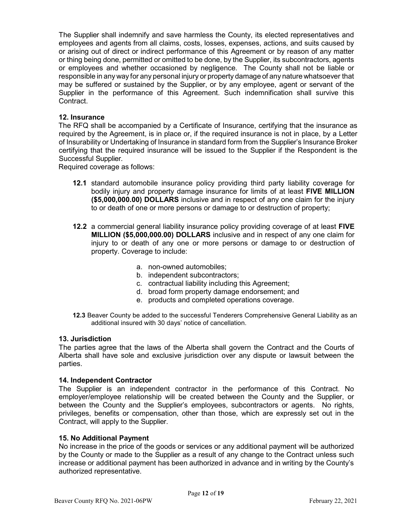The Supplier shall indemnify and save harmless the County, its elected representatives and employees and agents from all claims, costs, losses, expenses, actions, and suits caused by or arising out of direct or indirect performance of this Agreement or by reason of any matter or thing being done, permitted or omitted to be done, by the Supplier, its subcontractors, agents or employees and whether occasioned by negligence. The County shall not be liable or responsible in any way for any personal injury or property damage of any nature whatsoever that may be suffered or sustained by the Supplier, or by any employee, agent or servant of the Supplier in the performance of this Agreement. Such indemnification shall survive this Contract.

#### **12. Insurance**

The RFQ shall be accompanied by a Certificate of Insurance, certifying that the insurance as required by the Agreement, is in place or, if the required insurance is not in place, by a Letter of Insurability or Undertaking of Insurance in standard form from the Supplier's Insurance Broker certifying that the required insurance will be issued to the Supplier if the Respondent is the Successful Supplier.

Required coverage as follows:

- **12.1** standard automobile insurance policy providing third party liability coverage for bodily injury and property damage insurance for limits of at least **FIVE MILLION (\$5,000,000.00) DOLLARS** inclusive and in respect of any one claim for the injury to or death of one or more persons or damage to or destruction of property;
- **12.2** a commercial general liability insurance policy providing coverage of at least **FIVE MILLION (\$5,000,000.00) DOLLARS** inclusive and in respect of any one claim for injury to or death of any one or more persons or damage to or destruction of property. Coverage to include:
	- a. non-owned automobiles;
	- b. independent subcontractors;
	- c. contractual liability including this Agreement;
	- d. broad form property damage endorsement; and
	- e. products and completed operations coverage.
- **12.3** Beaver County be added to the successful Tenderers Comprehensive General Liability as an additional insured with 30 days' notice of cancellation.

#### **13. Jurisdiction**

The parties agree that the laws of the Alberta shall govern the Contract and the Courts of Alberta shall have sole and exclusive jurisdiction over any dispute or lawsuit between the parties.

#### **14. Independent Contractor**

The Supplier is an independent contractor in the performance of this Contract. No employer/employee relationship will be created between the County and the Supplier, or between the County and the Supplier's employees, subcontractors or agents. No rights, privileges, benefits or compensation, other than those, which are expressly set out in the Contract, will apply to the Supplier.

#### **15. No Additional Payment**

No increase in the price of the goods or services or any additional payment will be authorized by the County or made to the Supplier as a result of any change to the Contract unless such increase or additional payment has been authorized in advance and in writing by the County's authorized representative.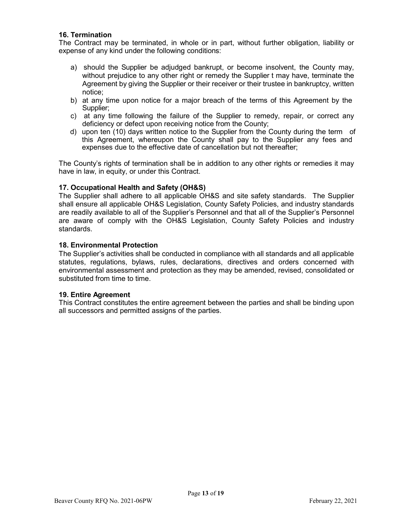#### **16. Termination**

The Contract may be terminated, in whole or in part, without further obligation, liability or expense of any kind under the following conditions:

- a) should the Supplier be adjudged bankrupt, or become insolvent, the County may, without prejudice to any other right or remedy the Supplier t may have, terminate the Agreement by giving the Supplier or their receiver or their trustee in bankruptcy, written notice;
- b) at any time upon notice for a major breach of the terms of this Agreement by the Supplier;
- c) at any time following the failure of the Supplier to remedy, repair, or correct any deficiency or defect upon receiving notice from the County;
- d) upon ten (10) days written notice to the Supplier from the County during the term of this Agreement, whereupon the County shall pay to the Supplier any fees and expenses due to the effective date of cancellation but not thereafter;

The County's rights of termination shall be in addition to any other rights or remedies it may have in law, in equity, or under this Contract.

#### **17. Occupational Health and Safety (OH&S)**

The Supplier shall adhere to all applicable OH&S and site safety standards. The Supplier shall ensure all applicable OH&S Legislation, County Safety Policies, and industry standards are readily available to all of the Supplier's Personnel and that all of the Supplier's Personnel are aware of comply with the OH&S Legislation, County Safety Policies and industry standards.

#### **18. Environmental Protection**

The Supplier's activities shall be conducted in compliance with all standards and all applicable statutes, regulations, bylaws, rules, declarations, directives and orders concerned with environmental assessment and protection as they may be amended, revised, consolidated or substituted from time to time.

#### **19. Entire Agreement**

This Contract constitutes the entire agreement between the parties and shall be binding upon all successors and permitted assigns of the parties.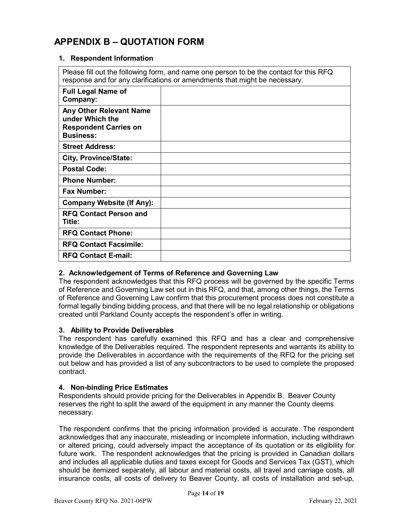# **APPENDIX B – QUOTATION FORM**

### **1. Respondent Information**

Please fill out the following form, and name one person to be the contact for this RFQ response and for any clarifications or amendments that might be necessary.

| <b>Full Legal Name of</b><br>Company:                                                          |  |
|------------------------------------------------------------------------------------------------|--|
| Any Other Relevant Name<br>under Which the<br><b>Respondent Carries on</b><br><b>Business:</b> |  |
| <b>Street Address:</b>                                                                         |  |
| <b>City, Province/State:</b>                                                                   |  |
| <b>Postal Code:</b>                                                                            |  |
| <b>Phone Number:</b>                                                                           |  |
| <b>Fax Number:</b>                                                                             |  |
| <b>Company Website (If Any):</b>                                                               |  |
| <b>RFQ Contact Person and</b><br>Title:                                                        |  |
| <b>RFQ Contact Phone:</b>                                                                      |  |
| <b>RFQ Contact Facsimile:</b>                                                                  |  |
| <b>RFQ Contact E-mail:</b>                                                                     |  |
|                                                                                                |  |

#### **2. Acknowledgement of Terms of Reference and Governing Law**

The respondent acknowledges that this RFQ process will be governed by the specific Terms of Reference and Governing Law set out in this RFQ, and that, among other things, the Terms of Reference and Governing Law confirm that this procurement process does not constitute a formal legally binding bidding process, and that there will be no legal relationship or obligations created until Parkland County accepts the respondent's offer in writing.

#### **3. Ability to Provide Deliverables**

The respondent has carefully examined this RFQ and has a clear and comprehensive knowledge of the Deliverables required. The respondent represents and warrants its ability to provide the Deliverables in accordance with the requirements of the RFQ for the pricing set out below and has provided a list of any subcontractors to be used to complete the proposed contract.

#### **4. Non-binding Price Estimates**

Respondents should provide pricing for the Deliverables in Appendix B. Beaver County reserves the right to split the award of the equipment in any manner the County deems necessary.

The respondent confirms that the pricing information provided is accurate. The respondent acknowledges that any inaccurate, misleading or incomplete information, including withdrawn or altered pricing, could adversely impact the acceptance of its quotation or its eligibility for future work. The respondent acknowledges that the pricing is provided in Canadian dollars and includes all applicable duties and taxes except for Goods and Services Tax (GST), which should be itemized separately, all labour and material costs, all travel and carriage costs, all insurance costs, all costs of delivery to Beaver County, all costs of installation and set-up,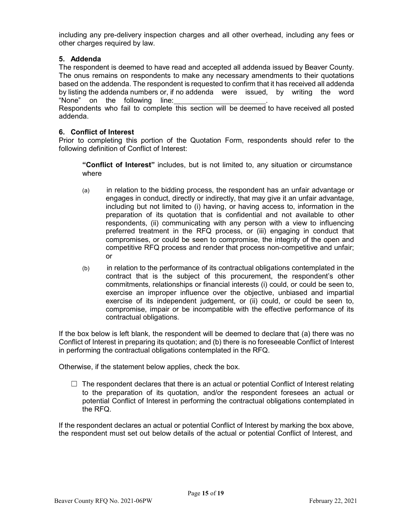including any pre-delivery inspection charges and all other overhead, including any fees or other charges required by law.

### **5. Addenda**

The respondent is deemed to have read and accepted all addenda issued by Beaver County. The onus remains on respondents to make any necessary amendments to their quotations based on the addenda. The respondent is requested to confirm that it has received all addenda by listing the addenda numbers or, if no addenda were issued, by writing the word "None" on the following line: Respondents who fail to complete this section will be deemed to have received all posted addenda.

### **6. Conflict of Interest**

Prior to completing this portion of the Quotation Form, respondents should refer to the following definition of Conflict of Interest:

**"Conflict of Interest"** includes, but is not limited to, any situation or circumstance where

- (a) in relation to the bidding process, the respondent has an unfair advantage or engages in conduct, directly or indirectly, that may give it an unfair advantage, including but not limited to (i) having, or having access to, information in the preparation of its quotation that is confidential and not available to other respondents, (ii) communicating with any person with a view to influencing preferred treatment in the RFQ process, or (iii) engaging in conduct that compromises, or could be seen to compromise, the integrity of the open and competitive RFQ process and render that process non-competitive and unfair; or
- (b) in relation to the performance of its contractual obligations contemplated in the contract that is the subject of this procurement, the respondent's other commitments, relationships or financial interests (i) could, or could be seen to, exercise an improper influence over the objective, unbiased and impartial exercise of its independent judgement, or (ii) could, or could be seen to, compromise, impair or be incompatible with the effective performance of its contractual obligations.

If the box below is left blank, the respondent will be deemed to declare that (a) there was no Conflict of Interest in preparing its quotation; and (b) there is no foreseeable Conflict of Interest in performing the contractual obligations contemplated in the RFQ.

Otherwise, if the statement below applies, check the box.

 $\Box$  The respondent declares that there is an actual or potential Conflict of Interest relating to the preparation of its quotation, and/or the respondent foresees an actual or potential Conflict of Interest in performing the contractual obligations contemplated in the RFQ.

If the respondent declares an actual or potential Conflict of Interest by marking the box above, the respondent must set out below details of the actual or potential Conflict of Interest, and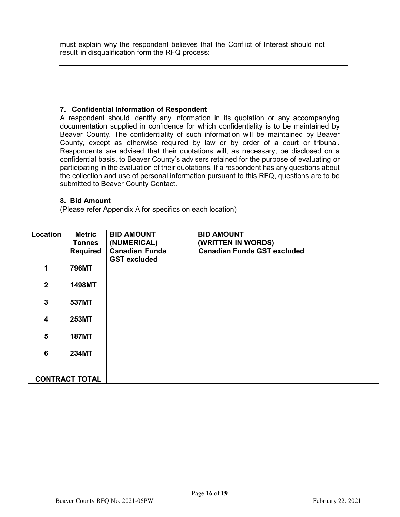must explain why the respondent believes that the Conflict of Interest should not result in disqualification form the RFQ process:

#### **7. Confidential Information of Respondent**

A respondent should identify any information in its quotation or any accompanying documentation supplied in confidence for which confidentiality is to be maintained by Beaver County. The confidentiality of such information will be maintained by Beaver County, except as otherwise required by law or by order of a court or tribunal. Respondents are advised that their quotations will, as necessary, be disclosed on a confidential basis, to Beaver County's advisers retained for the purpose of evaluating or participating in the evaluation of their quotations. If a respondent has any questions about the collection and use of personal information pursuant to this RFQ, questions are to be submitted to Beaver County Contact.

#### **8. Bid Amount**

(Please refer Appendix A for specifics on each location)

| Location              | <b>Metric</b>   | <b>BID AMOUNT</b>     | <b>BID AMOUNT</b>                  |
|-----------------------|-----------------|-----------------------|------------------------------------|
|                       | <b>Tonnes</b>   | (NUMERICAL)           | (WRITTEN IN WORDS)                 |
|                       | <b>Required</b> | <b>Canadian Funds</b> | <b>Canadian Funds GST excluded</b> |
|                       |                 | <b>GST excluded</b>   |                                    |
|                       | <b>796MT</b>    |                       |                                    |
| $\mathbf{2}$          | 1498MT          |                       |                                    |
|                       |                 |                       |                                    |
| 3                     | 537MT           |                       |                                    |
|                       |                 |                       |                                    |
|                       |                 |                       |                                    |
| 4                     | <b>253MT</b>    |                       |                                    |
|                       |                 |                       |                                    |
| 5                     | <b>187MT</b>    |                       |                                    |
|                       |                 |                       |                                    |
| 6                     | <b>234MT</b>    |                       |                                    |
|                       |                 |                       |                                    |
|                       |                 |                       |                                    |
| <b>CONTRACT TOTAL</b> |                 |                       |                                    |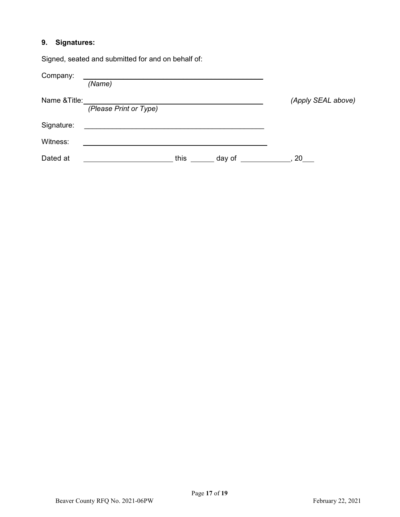# **9. Signatures:**

Signed, seated and submitted for and on behalf of:

| Company:      |                        |           |                    |
|---------------|------------------------|-----------|--------------------|
|               | (Name)                 |           |                    |
| Name & Title: |                        |           | (Apply SEAL above) |
|               | (Please Print or Type) |           |                    |
| Signature:    |                        |           |                    |
| Witness:      |                        |           |                    |
| Dated at      | this                   | __ day of | 20                 |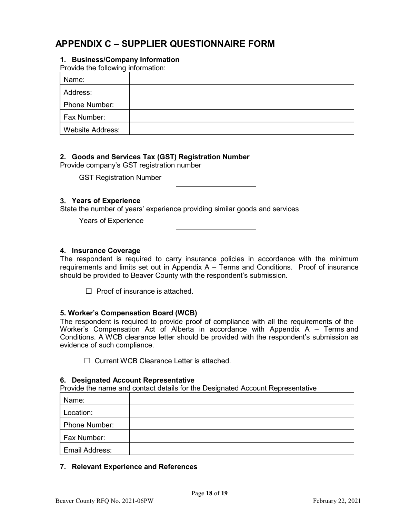# **APPENDIX C – SUPPLIER QUESTIONNAIRE FORM**

#### **1. Business/Company Information**

Provide the following information:

| Name:                   |  |
|-------------------------|--|
| Address:                |  |
| Phone Number:           |  |
| Fax Number:             |  |
| <b>Website Address:</b> |  |

#### **2. Goods and Services Tax (GST) Registration Number**

Provide company's GST registration number

GST Registration Number

#### **3. Years of Experience**

State the number of years' experience providing similar goods and services

Years of Experience

#### **4. Insurance Coverage**

The respondent is required to carry insurance policies in accordance with the minimum requirements and limits set out in Appendix A – Terms and Conditions. Proof of insurance should be provided to Beaver County with the respondent's submission.

 $\Box$  Proof of insurance is attached.

#### **5. Worker's Compensation Board (WCB)**

The respondent is required to provide proof of compliance with all the requirements of the Worker's Compensation Act of Alberta in accordance with Appendix A – Terms and Conditions. A WCB clearance letter should be provided with the respondent's submission as evidence of such compliance.

☐ Current WCB Clearance Letter is attached.

#### **6. Designated Account Representative**

Provide the name and contact details for the Designated Account Representative

| Name:          |  |
|----------------|--|
| Location:      |  |
| Phone Number:  |  |
| Fax Number:    |  |
| Email Address: |  |

#### **7. Relevant Experience and References**